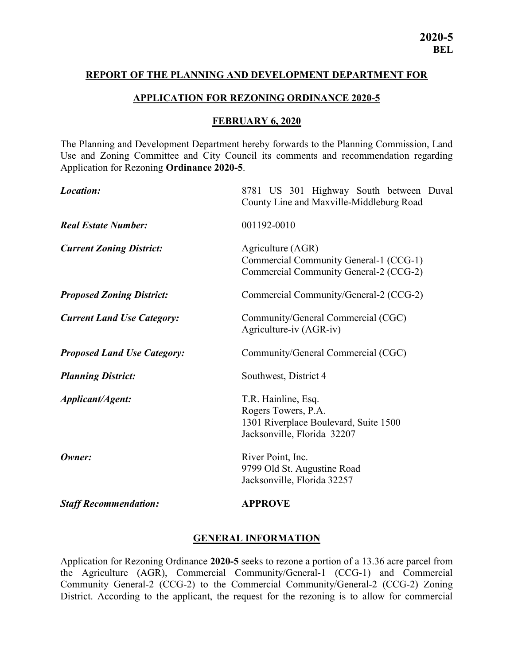#### REPORT OF THE PLANNING AND DEVELOPMENT DEPARTMENT FOR

#### APPLICATION FOR REZONING ORDINANCE 2020-5

#### FEBRUARY 6, 2020

The Planning and Development Department hereby forwards to the Planning Commission, Land Use and Zoning Committee and City Council its comments and recommendation regarding Application for Rezoning Ordinance 2020-5.

| Location:                          | 8781 US 301 Highway South between Duval<br>County Line and Maxville-Middleburg Road                                |
|------------------------------------|--------------------------------------------------------------------------------------------------------------------|
| <b>Real Estate Number:</b>         | 001192-0010                                                                                                        |
| <b>Current Zoning District:</b>    | Agriculture (AGR)<br>Commercial Community General-1 (CCG-1)<br>Commercial Community General-2 (CCG-2)              |
| <b>Proposed Zoning District:</b>   | Commercial Community/General-2 (CCG-2)                                                                             |
| <b>Current Land Use Category:</b>  | Community/General Commercial (CGC)<br>Agriculture-iv (AGR-iv)                                                      |
| <b>Proposed Land Use Category:</b> | Community/General Commercial (CGC)                                                                                 |
| <b>Planning District:</b>          | Southwest, District 4                                                                                              |
| Applicant/Agent:                   | T.R. Hainline, Esq.<br>Rogers Towers, P.A.<br>1301 Riverplace Boulevard, Suite 1500<br>Jacksonville, Florida 32207 |
| Owner:                             | River Point, Inc.<br>9799 Old St. Augustine Road<br>Jacksonville, Florida 32257                                    |
| <b>Staff Recommendation:</b>       | <b>APPROVE</b>                                                                                                     |

#### GENERAL INFORMATION

Application for Rezoning Ordinance 2020-5 seeks to rezone a portion of a 13.36 acre parcel from the Agriculture (AGR), Commercial Community/General-1 (CCG-1) and Commercial Community General-2 (CCG-2) to the Commercial Community/General-2 (CCG-2) Zoning District. According to the applicant, the request for the rezoning is to allow for commercial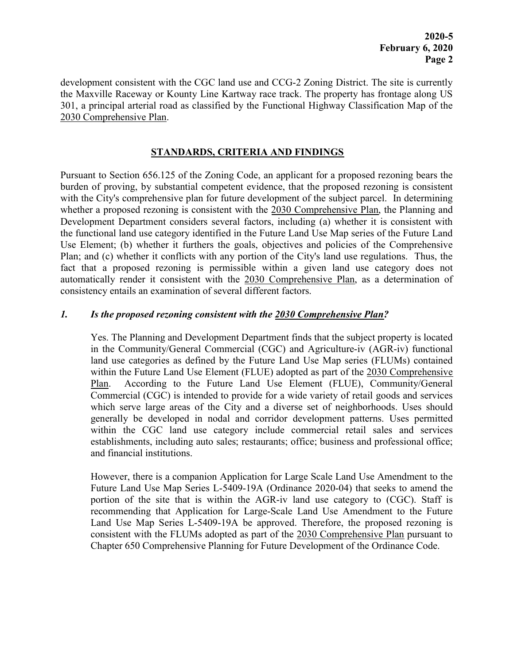development consistent with the CGC land use and CCG-2 Zoning District. The site is currently the Maxville Raceway or Kounty Line Kartway race track. The property has frontage along US 301, a principal arterial road as classified by the Functional Highway Classification Map of the 2030 Comprehensive Plan.

#### STANDARDS, CRITERIA AND FINDINGS

Pursuant to Section 656.125 of the Zoning Code, an applicant for a proposed rezoning bears the burden of proving, by substantial competent evidence, that the proposed rezoning is consistent with the City's comprehensive plan for future development of the subject parcel. In determining whether a proposed rezoning is consistent with the 2030 Comprehensive Plan, the Planning and Development Department considers several factors, including (a) whether it is consistent with the functional land use category identified in the Future Land Use Map series of the Future Land Use Element; (b) whether it furthers the goals, objectives and policies of the Comprehensive Plan; and (c) whether it conflicts with any portion of the City's land use regulations. Thus, the fact that a proposed rezoning is permissible within a given land use category does not automatically render it consistent with the 2030 Comprehensive Plan, as a determination of consistency entails an examination of several different factors.

## 1. Is the proposed rezoning consistent with the 2030 Comprehensive Plan?

Yes. The Planning and Development Department finds that the subject property is located in the Community/General Commercial (CGC) and Agriculture-iv (AGR-iv) functional land use categories as defined by the Future Land Use Map series (FLUMs) contained within the Future Land Use Element (FLUE) adopted as part of the 2030 Comprehensive Plan. According to the Future Land Use Element (FLUE), Community/General Commercial (CGC) is intended to provide for a wide variety of retail goods and services which serve large areas of the City and a diverse set of neighborhoods. Uses should generally be developed in nodal and corridor development patterns. Uses permitted within the CGC land use category include commercial retail sales and services establishments, including auto sales; restaurants; office; business and professional office; and financial institutions.

However, there is a companion Application for Large Scale Land Use Amendment to the Future Land Use Map Series L-5409-19A (Ordinance 2020-04) that seeks to amend the portion of the site that is within the AGR-iv land use category to (CGC). Staff is recommending that Application for Large-Scale Land Use Amendment to the Future Land Use Map Series L-5409-19A be approved. Therefore, the proposed rezoning is consistent with the FLUMs adopted as part of the 2030 Comprehensive Plan pursuant to Chapter 650 Comprehensive Planning for Future Development of the Ordinance Code.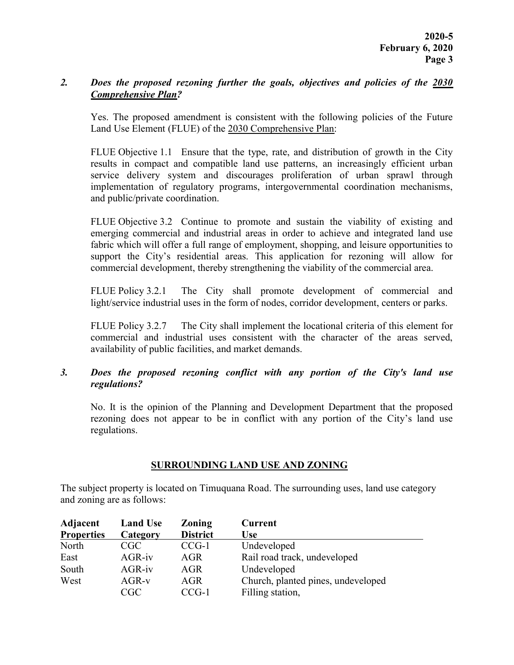## 2. Does the proposed rezoning further the goals, objectives and policies of the 2030 Comprehensive Plan?

Yes. The proposed amendment is consistent with the following policies of the Future Land Use Element (FLUE) of the 2030 Comprehensive Plan:

FLUE Objective 1.1 Ensure that the type, rate, and distribution of growth in the City results in compact and compatible land use patterns, an increasingly efficient urban service delivery system and discourages proliferation of urban sprawl through implementation of regulatory programs, intergovernmental coordination mechanisms, and public/private coordination.

FLUE Objective 3.2 Continue to promote and sustain the viability of existing and emerging commercial and industrial areas in order to achieve and integrated land use fabric which will offer a full range of employment, shopping, and leisure opportunities to support the City's residential areas. This application for rezoning will allow for commercial development, thereby strengthening the viability of the commercial area.

FLUE Policy 3.2.1 The City shall promote development of commercial and light/service industrial uses in the form of nodes, corridor development, centers or parks.

FLUE Policy 3.2.7 The City shall implement the locational criteria of this element for commercial and industrial uses consistent with the character of the areas served, availability of public facilities, and market demands.

## 3. Does the proposed rezoning conflict with any portion of the City's land use regulations?

No. It is the opinion of the Planning and Development Department that the proposed rezoning does not appear to be in conflict with any portion of the City's land use regulations.

#### SURROUNDING LAND USE AND ZONING

The subject property is located on Timuquana Road. The surrounding uses, land use category and zoning are as follows:

| Adjacent          | <b>Land Use</b> | <b>Zoning</b>   | <b>Current</b>                     |
|-------------------|-----------------|-----------------|------------------------------------|
| <b>Properties</b> | Category        | <b>District</b> | Use                                |
| North             | CGC             | $CCG-1$         | Undeveloped                        |
| East              | $AGR-iv$        | AGR             | Rail road track, undeveloped       |
| South             | $AGR-iv$        | AGR             | Undeveloped                        |
| West              | $AGR-v$         | AGR             | Church, planted pines, undeveloped |
|                   | CGC             | $CCG-1$         | Filling station,                   |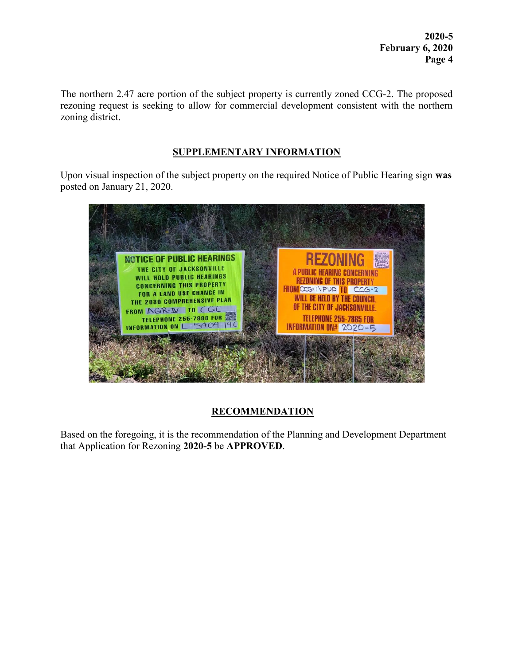2020-5 February 6, 2020 Page 4

The northern 2.47 acre portion of the subject property is currently zoned CCG-2. The proposed rezoning request is seeking to allow for commercial development consistent with the northern zoning district.

## SUPPLEMENTARY INFORMATION

Upon visual inspection of the subject property on the required Notice of Public Hearing sign was posted on January 21, 2020.



# **RECOMMENDATION**

Based on the foregoing, it is the recommendation of the Planning and Development Department that Application for Rezoning 2020-5 be APPROVED.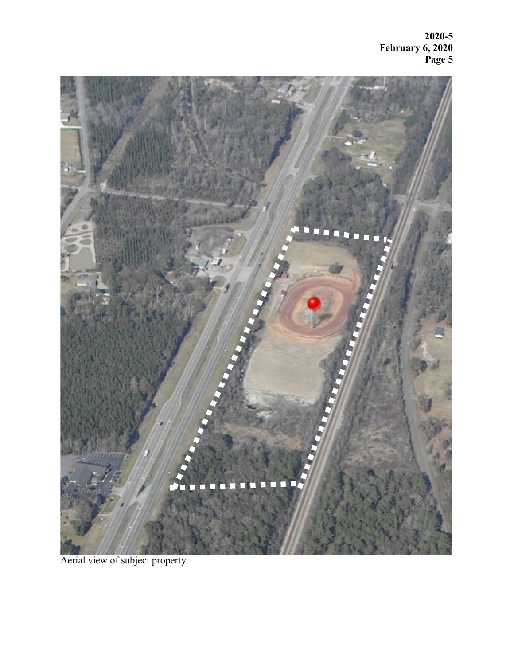2020-5 February 6, 2020 Page 5



Aerial view of subject property